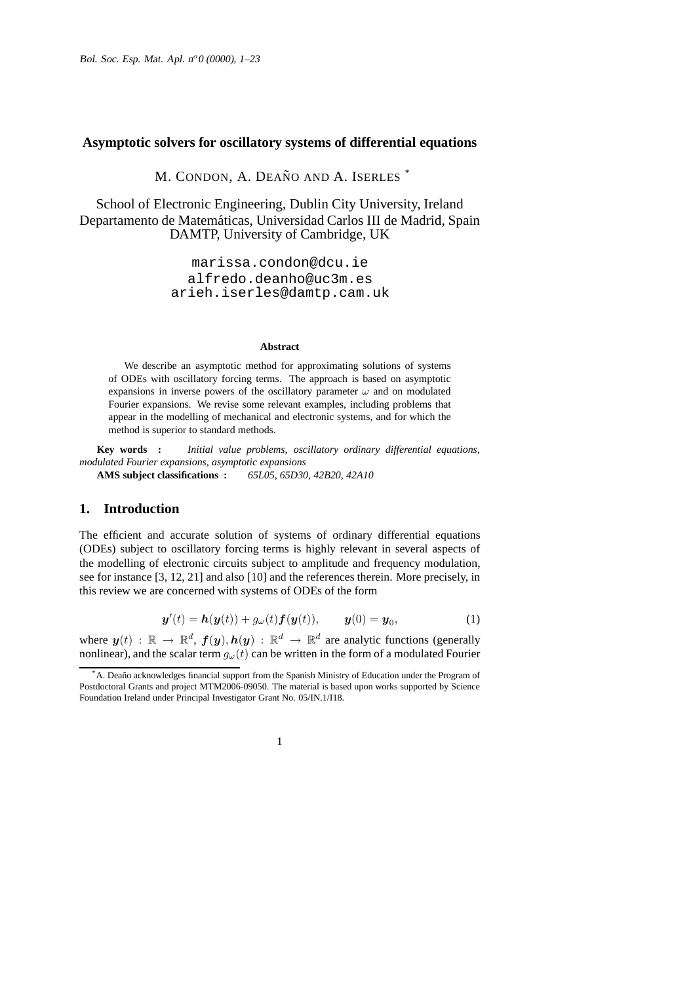## **Asymptotic solvers for oscillatory systems of differential equations**

M. CONDON, A. DEAÑO AND A. ISERLES<sup>\*</sup>

School of Electronic Engineering, Dublin City University, Ireland Departamento de Matemáticas, Universidad Carlos III de Madrid, Spain DAMTP, University of Cambridge, UK

> marissa.condon@dcu.ie alfredo.deanho@uc3m.es arieh.iserles@damtp.cam.uk

#### **Abstract**

We describe an asymptotic method for approximating solutions of systems of ODEs with oscillatory forcing terms. The approach is based on asymptotic expansions in inverse powers of the oscillatory parameter  $\omega$  and on modulated Fourier expansions. We revise some relevant examples, including problems that appear in the modelling of mechanical and electronic systems, and for which the method is superior to standard methods.

**Key words :** *Initial value problems, oscillatory ordinary differential equations, modulated Fourier expansions, asymptotic expansions* **AMS subject classifications :** *65L05, 65D30, 42B20, 42A10*

# **1. Introduction**

The efficient and accurate solution of systems of ordinary differential equations (ODEs) subject to oscillatory forcing terms is highly relevant in several aspects of the modelling of electronic circuits subject to amplitude and frequency modulation, see for instance [3, 12, 21] and also [10] and the references therein. More precisely, in this review we are concerned with systems of ODEs of the form

$$
\mathbf{y}'(t) = \mathbf{h}(\mathbf{y}(t)) + g_{\omega}(t)\mathbf{f}(\mathbf{y}(t)), \qquad \mathbf{y}(0) = \mathbf{y}_0,\tag{1}
$$

where  $y(t) : \mathbb{R} \to \mathbb{R}^d$ ,  $f(y), h(y) : \mathbb{R}^d \to \mathbb{R}^d$  are analytic functions (generally nonlinear), and the scalar term  $g_{\omega}(t)$  can be written in the form of a modulated Fourier

A. Deaño acknowledges financial support from the Spanish Ministry of Education under the Program of Postdoctoral Grants and project MTM2006-09050. The material is based upon works supported by Science Foundation Ireland under Principal Investigator Grant No. 05/IN.1/I18.

<sup>1</sup>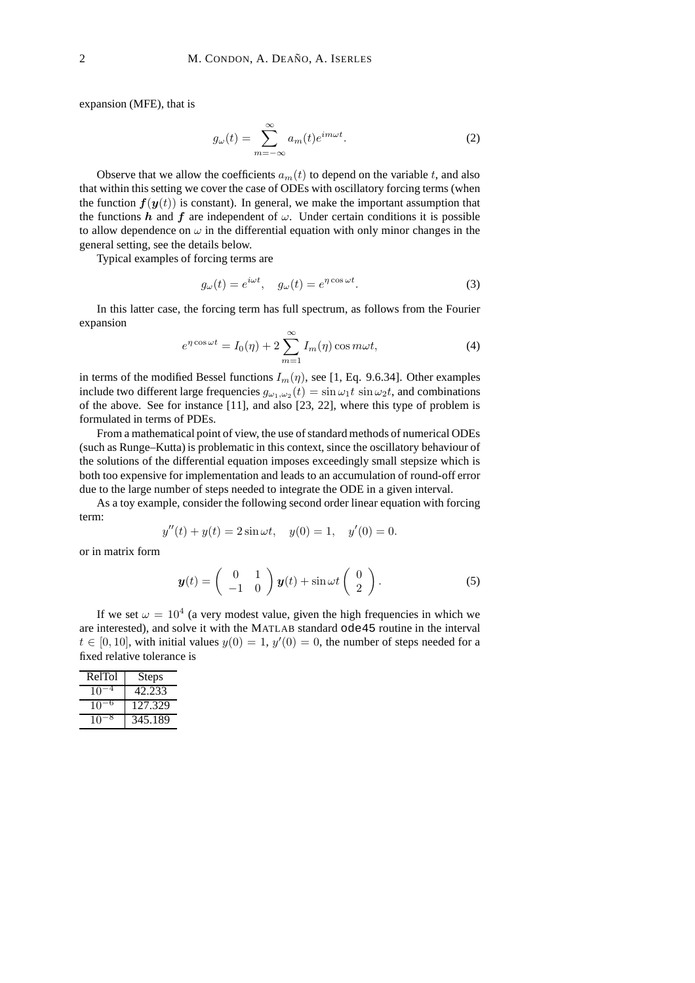expansion (MFE), that is

$$
g_{\omega}(t) = \sum_{m = -\infty}^{\infty} a_m(t)e^{im\omega t}.
$$
 (2)

Observe that we allow the coefficients  $a_m(t)$  to depend on the variable t, and also that within this setting we cover the case of ODEs with oscillatory forcing terms (when the function  $f(y(t))$  is constant). In general, we make the important assumption that the functions h and f are independent of  $\omega$ . Under certain conditions it is possible to allow dependence on  $\omega$  in the differential equation with only minor changes in the general setting, see the details below.

Typical examples of forcing terms are

$$
g_{\omega}(t) = e^{i\omega t}, \quad g_{\omega}(t) = e^{\eta \cos \omega t}.
$$
 (3)

In this latter case, the forcing term has full spectrum, as follows from the Fourier expansion

$$
e^{\eta \cos \omega t} = I_0(\eta) + 2 \sum_{m=1}^{\infty} I_m(\eta) \cos m\omega t, \tag{4}
$$

in terms of the modified Bessel functions  $I_m(\eta)$ , see [1, Eq. 9.6.34]. Other examples include two different large frequencies  $g_{\omega_1,\omega_2}(t) = \sin \omega_1 t \sin \omega_2 t$ , and combinations of the above. See for instance [11], and also [23, 22], where this type of problem is formulated in terms of PDEs.

From a mathematical point of view, the use of standard methods of numerical ODEs (such as Runge–Kutta) is problematic in this context, since the oscillatory behaviour of the solutions of the differential equation imposes exceedingly small stepsize which is both too expensive for implementation and leads to an accumulation of round-off error due to the large number of steps needed to integrate the ODE in a given interval.

As a toy example, consider the following second order linear equation with forcing term:

$$
y''(t) + y(t) = 2\sin \omega t, \quad y(0) = 1, \quad y'(0) = 0.
$$

or in matrix form

$$
\mathbf{y}(t) = \begin{pmatrix} 0 & 1 \\ -1 & 0 \end{pmatrix} \mathbf{y}(t) + \sin \omega t \begin{pmatrix} 0 \\ 2 \end{pmatrix}.
$$
 (5)

If we set  $\omega = 10^4$  (a very modest value, given the high frequencies in which we are interested), and solve it with the MATLAB standard ode45 routine in the interval  $t \in [0, 10]$ , with initial values  $y(0) = 1$ ,  $y'(0) = 0$ , the number of steps needed for a fixed relative tolerance is

| RelTol | <b>Steps</b> |
|--------|--------------|
| 10     | 42.233       |
| 10     | 127.329      |
| 10     | 345.189      |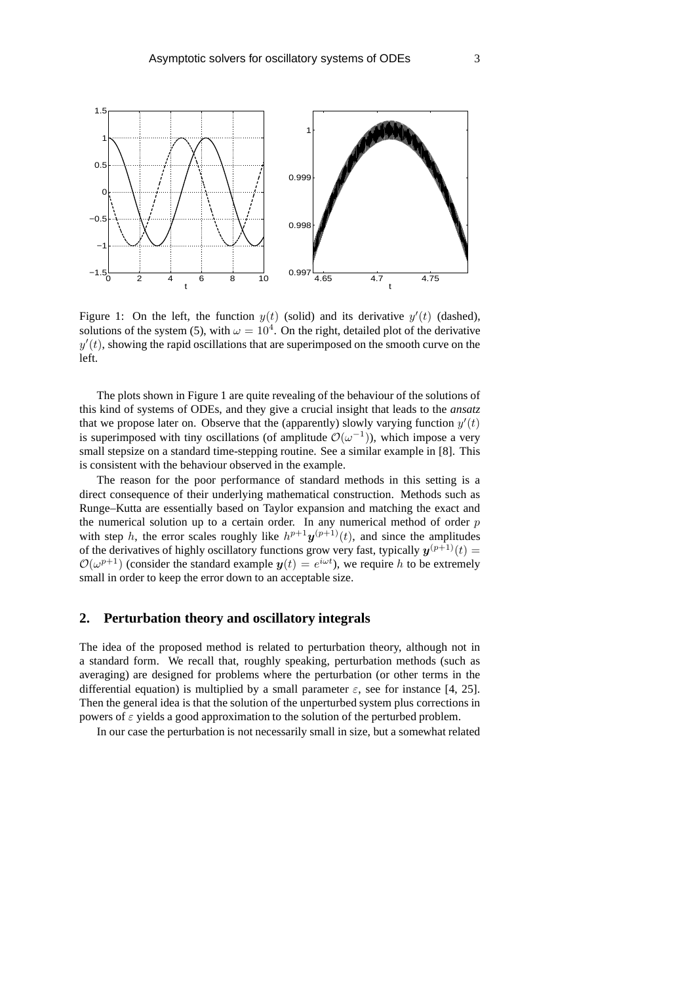

Figure 1: On the left, the function  $y(t)$  (solid) and its derivative  $y'(t)$  (dashed), solutions of the system (5), with  $\omega = 10^4$ . On the right, detailed plot of the derivative  $y'(t)$ , showing the rapid oscillations that are superimposed on the smooth curve on the left.

The plots shown in Figure 1 are quite revealing of the behaviour of the solutions of this kind of systems of ODEs, and they give a crucial insight that leads to the *ansatz* that we propose later on. Observe that the (apparently) slowly varying function  $y'(t)$ is superimposed with tiny oscillations (of amplitude  $\mathcal{O}(\omega^{-1})$ ), which impose a very small stepsize on a standard time-stepping routine. See a similar example in [8]. This is consistent with the behaviour observed in the example.

The reason for the poor performance of standard methods in this setting is a direct consequence of their underlying mathematical construction. Methods such as Runge–Kutta are essentially based on Taylor expansion and matching the exact and the numerical solution up to a certain order. In any numerical method of order  $p$ with step h, the error scales roughly like  $h^{p+1}y^{(p+1)}(t)$ , and since the amplitudes of the derivatives of highly oscillatory functions grow very fast, typically  $y^{(p+1)}(t) =$  $\mathcal{O}(\omega^{p+1})$  (consider the standard example  $y(t) = e^{i\omega t}$ ), we require h to be extremely small in order to keep the error down to an acceptable size.

# **2. Perturbation theory and oscillatory integrals**

The idea of the proposed method is related to perturbation theory, although not in a standard form. We recall that, roughly speaking, perturbation methods (such as averaging) are designed for problems where the perturbation (or other terms in the differential equation) is multiplied by a small parameter  $\varepsilon$ , see for instance [4, 25]. Then the general idea is that the solution of the unperturbed system plus corrections in powers of  $\varepsilon$  yields a good approximation to the solution of the perturbed problem.

In our case the perturbation is not necessarily small in size, but a somewhat related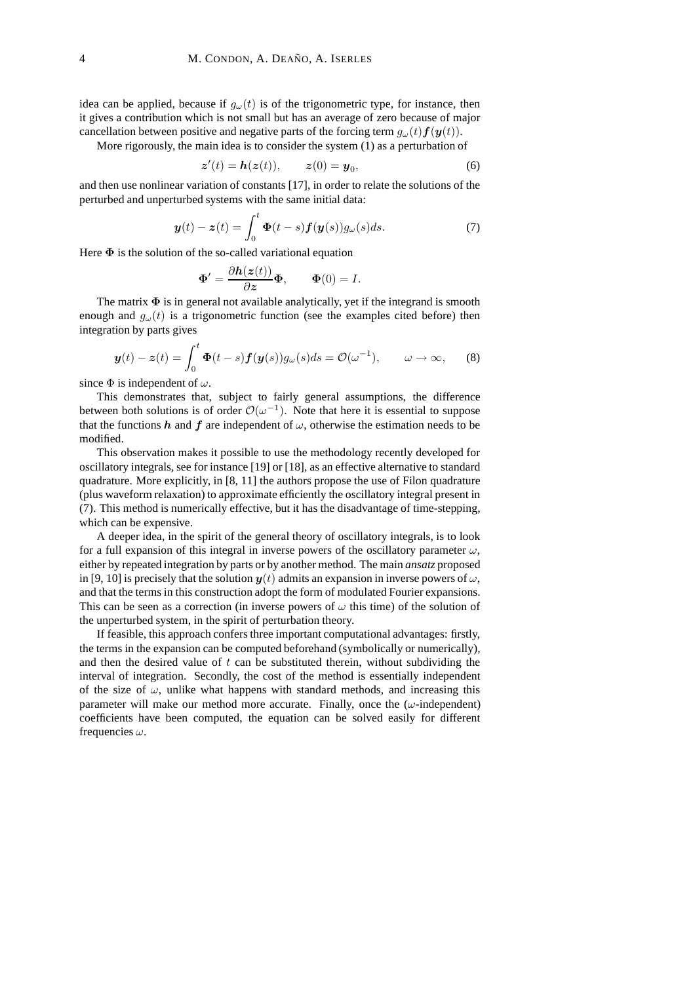idea can be applied, because if  $g_{\omega}(t)$  is of the trigonometric type, for instance, then it gives a contribution which is not small but has an average of zero because of major cancellation between positive and negative parts of the forcing term  $g_{\omega}(t) f(\mathbf{y}(t))$ .

More rigorously, the main idea is to consider the system (1) as a perturbation of

$$
\mathbf{z}'(t) = \mathbf{h}(\mathbf{z}(t)), \qquad \mathbf{z}(0) = \mathbf{y}_0,\tag{6}
$$

and then use nonlinear variation of constants [17], in order to relate the solutions of the perturbed and unperturbed systems with the same initial data:

$$
\mathbf{y}(t) - \mathbf{z}(t) = \int_0^t \mathbf{\Phi}(t - s) \mathbf{f}(\mathbf{y}(s)) g_\omega(s) ds.
$$
 (7)

Here  $\Phi$  is the solution of the so-called variational equation

$$
\Phi' = \frac{\partial h(z(t))}{\partial z} \Phi, \qquad \Phi(0) = I.
$$

The matrix  $\Phi$  is in general not available analytically, yet if the integrand is smooth enough and  $g_{\omega}(t)$  is a trigonometric function (see the examples cited before) then integration by parts gives

$$
\mathbf{y}(t) - \mathbf{z}(t) = \int_0^t \mathbf{\Phi}(t - s) \mathbf{f}(\mathbf{y}(s)) g_\omega(s) ds = \mathcal{O}(\omega^{-1}), \qquad \omega \to \infty,
$$
 (8)

since  $\Phi$  is independent of  $\omega$ .

This demonstrates that, subject to fairly general assumptions, the difference between both solutions is of order  $\mathcal{O}(\omega^{-1})$ . Note that here it is essential to suppose that the functions h and f are independent of  $\omega$ , otherwise the estimation needs to be modified.

This observation makes it possible to use the methodology recently developed for oscillatory integrals, see for instance [19] or [18], as an effective alternative to standard quadrature. More explicitly, in [8, 11] the authors propose the use of Filon quadrature (plus waveform relaxation) to approximate efficiently the oscillatory integral present in (7). This method is numerically effective, but it has the disadvantage of time-stepping, which can be expensive.

A deeper idea, in the spirit of the general theory of oscillatory integrals, is to look for a full expansion of this integral in inverse powers of the oscillatory parameter  $\omega$ , either by repeated integration by parts or by another method. The main *ansatz* proposed in [9, 10] is precisely that the solution  $y(t)$  admits an expansion in inverse powers of  $\omega$ , and that the terms in this construction adopt the form of modulated Fourier expansions. This can be seen as a correction (in inverse powers of  $\omega$  this time) of the solution of the unperturbed system, in the spirit of perturbation theory.

If feasible, this approach confers three important computational advantages: firstly, the terms in the expansion can be computed beforehand (symbolically or numerically), and then the desired value of  $t$  can be substituted therein, without subdividing the interval of integration. Secondly, the cost of the method is essentially independent of the size of  $\omega$ , unlike what happens with standard methods, and increasing this parameter will make our method more accurate. Finally, once the  $(\omega$ -independent) coefficients have been computed, the equation can be solved easily for different frequencies  $\omega$ .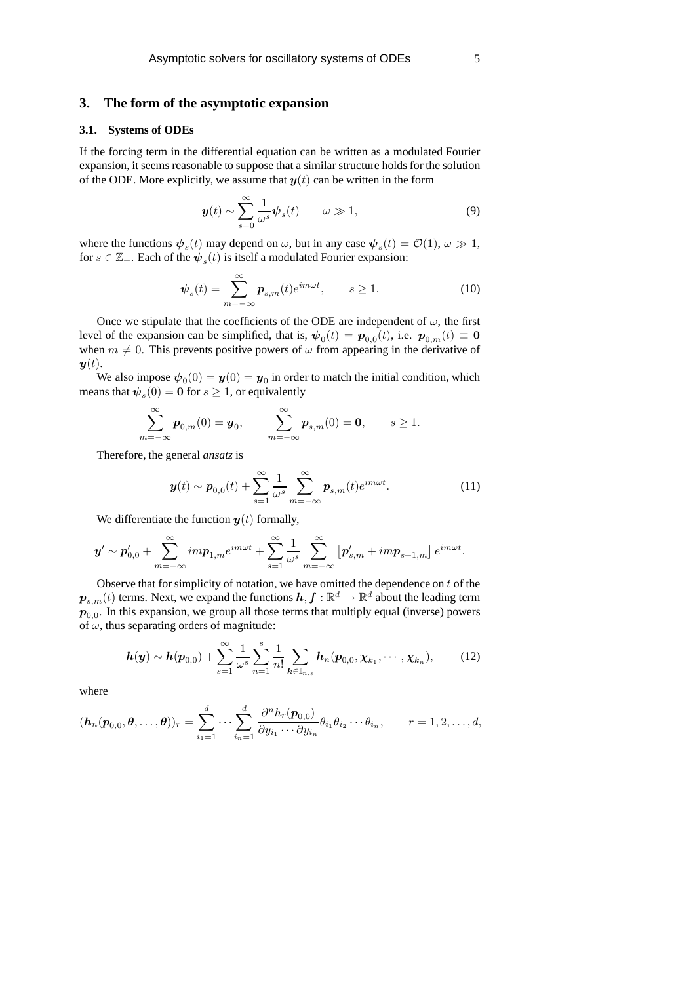## **3. The form of the asymptotic expansion**

### **3.1. Systems of ODEs**

If the forcing term in the differential equation can be written as a modulated Fourier expansion, it seems reasonable to suppose that a similar structure holds for the solution of the ODE. More explicitly, we assume that  $y(t)$  can be written in the form

$$
\mathbf{y}(t) \sim \sum_{s=0}^{\infty} \frac{1}{\omega^s} \boldsymbol{\psi}_s(t) \qquad \omega \gg 1,
$$
 (9)

where the functions  $\psi_s(t)$  may depend on  $\omega$ , but in any case  $\psi_s(t) = \mathcal{O}(1)$ ,  $\omega \gg 1$ , for  $s \in \mathbb{Z}_+$ . Each of the  $\psi_s(t)$  is itself a modulated Fourier expansion:

$$
\psi_s(t) = \sum_{m = -\infty}^{\infty} p_{s,m}(t)e^{im\omega t}, \qquad s \ge 1.
$$
 (10)

Once we stipulate that the coefficients of the ODE are independent of  $\omega$ , the first level of the expansion can be simplified, that is,  $\psi_0(t) = p_{0,0}(t)$ , i.e.  $p_{0,m}(t) \equiv 0$ when  $m \neq 0$ . This prevents positive powers of  $\omega$  from appearing in the derivative of  $y(t)$ .

We also impose  $\psi_0(0) = \mathbf{y}(0) = \mathbf{y}_0$  in order to match the initial condition, which means that  $\psi_s(0) = \mathbf{0}$  for  $s \geq 1$ , or equivalently

$$
\sum_{m=-\infty}^{\infty} p_{0,m}(0) = \mathbf{y}_0, \qquad \sum_{m=-\infty}^{\infty} p_{s,m}(0) = \mathbf{0}, \qquad s \ge 1.
$$

Therefore, the general *ansatz* is

$$
\boldsymbol{y}(t) \sim \boldsymbol{p}_{0,0}(t) + \sum_{s=1}^{\infty} \frac{1}{\omega^s} \sum_{m=-\infty}^{\infty} \boldsymbol{p}_{s,m}(t) e^{im\omega t}.
$$
 (11)

We differentiate the function  $y(t)$  formally,

$$
\boldsymbol{y}' \sim \boldsymbol{p}'_{0,0} + \sum_{m=-\infty}^{\infty} i m \boldsymbol{p}_{1,m} e^{im\omega t} + \sum_{s=1}^{\infty} \frac{1}{\omega^s} \sum_{m=-\infty}^{\infty} \left[ \boldsymbol{p}'_{s,m} + i m \boldsymbol{p}_{s+1,m} \right] e^{im\omega t}.
$$

Observe that for simplicity of notation, we have omitted the dependence on  $t$  of the  $\bm{p}_{s,m}(t)$  terms. Next, we expand the functions  $\bm{h}, \bm{f} : \mathbb{R}^d \to \mathbb{R}^d$  about the leading term  $\boldsymbol{p}_{0,0}$ . In this expansion, we group all those terms that multiply equal (inverse) powers of  $\omega$ , thus separating orders of magnitude:

$$
h(y) \sim h(p_{0,0}) + \sum_{s=1}^{\infty} \frac{1}{\omega^s} \sum_{n=1}^s \frac{1}{n!} \sum_{k \in \mathbb{I}_{n,s}} h_n(p_{0,0}, \chi_{k_1}, \cdots, \chi_{k_n}), \qquad (12)
$$

where

$$
(\mathbf{h}_n(\mathbf{p}_{0,0},\boldsymbol{\theta},\ldots,\boldsymbol{\theta}))_r = \sum_{i_1=1}^d \cdots \sum_{i_n=1}^d \frac{\partial^n h_r(\mathbf{p}_{0,0})}{\partial y_{i_1} \cdots \partial y_{i_n}} \theta_{i_1} \theta_{i_2} \cdots \theta_{i_n}, \qquad r = 1,2,\ldots,d,
$$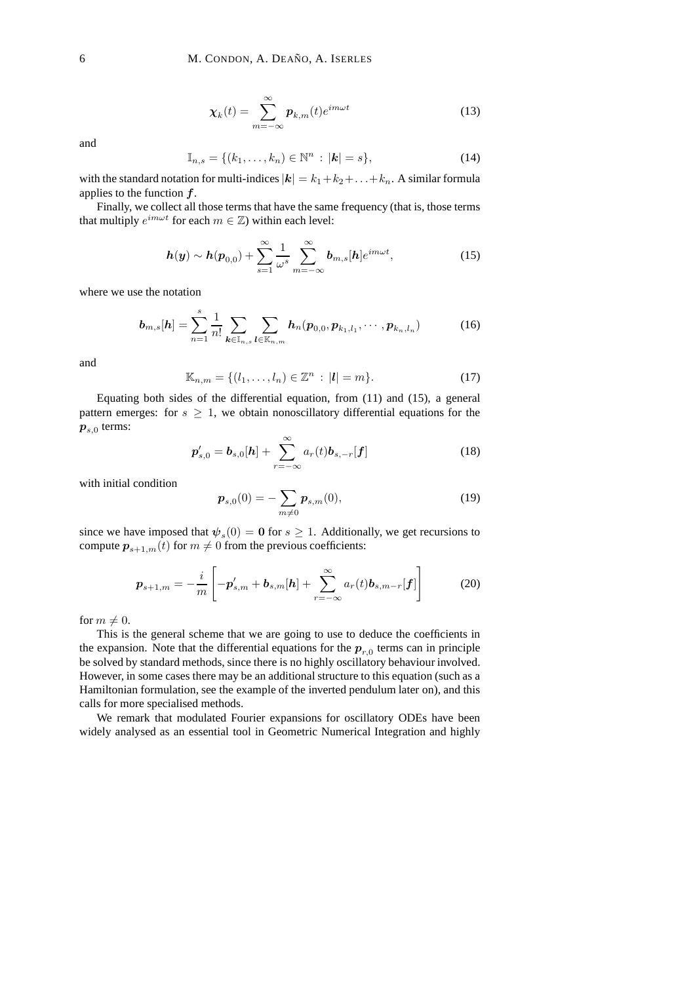$$
\chi_k(t) = \sum_{m = -\infty}^{\infty} p_{k,m}(t) e^{im\omega t}
$$
 (13)

and

$$
\mathbb{I}_{n,s} = \{ (k_1, \dots, k_n) \in \mathbb{N}^n : |\mathbf{k}| = s \},\tag{14}
$$

with the standard notation for multi-indices  $|k| = k_1 + k_2 + \ldots + k_n$ . A similar formula applies to the function  $f$ .

Finally, we collect all those terms that have the same frequency (that is, those terms that multiply  $e^{im\omega t}$  for each  $m \in \mathbb{Z}$ ) within each level:

$$
h(y) \sim h(p_{0,0}) + \sum_{s=1}^{\infty} \frac{1}{\omega^s} \sum_{m=-\infty}^{\infty} b_{m,s}[h] e^{im\omega t}, \qquad (15)
$$

where we use the notation

$$
\boldsymbol{b}_{m,s}[h] = \sum_{n=1}^{s} \frac{1}{n!} \sum_{\boldsymbol{k} \in \mathbb{I}_{n,s}} \sum_{\boldsymbol{l} \in \mathbb{K}_{n,m}} \boldsymbol{h}_n(\boldsymbol{p}_{0,0}, \boldsymbol{p}_{k_1,l_1}, \cdots, \boldsymbol{p}_{k_n,l_n})
$$
(16)

and

$$
\mathbb{K}_{n,m} = \{ (l_1, \dots, l_n) \in \mathbb{Z}^n : |l| = m \}. \tag{17}
$$

Equating both sides of the differential equation, from (11) and (15), a general pattern emerges: for  $s \geq 1$ , we obtain nonoscillatory differential equations for the  $p_{s,0}$  terms:

$$
p'_{s,0} = b_{s,0}[h] + \sum_{r=-\infty}^{\infty} a_r(t)b_{s,-r}[f]
$$
 (18)

with initial condition

$$
\boldsymbol{p}_{s,0}(0) = -\sum_{m \neq 0} \boldsymbol{p}_{s,m}(0),\tag{19}
$$

since we have imposed that  $\psi_s(0) = \mathbf{0}$  for  $s \geq 1$ . Additionally, we get recursions to compute  $p_{s+1,m}(t)$  for  $m \neq 0$  from the previous coefficients:

$$
\boldsymbol{p}_{s+1,m} = -\frac{i}{m} \left[ -\boldsymbol{p}'_{s,m} + \boldsymbol{b}_{s,m}[\boldsymbol{h}] + \sum_{r=-\infty}^{\infty} a_r(t) \boldsymbol{b}_{s,m-r}[\boldsymbol{f}] \right]
$$
(20)

for  $m \neq 0$ .

This is the general scheme that we are going to use to deduce the coefficients in the expansion. Note that the differential equations for the  $p_{r,0}$  terms can in principle be solved by standard methods, since there is no highly oscillatory behaviour involved. However, in some cases there may be an additional structure to this equation (such as a Hamiltonian formulation, see the example of the inverted pendulum later on), and this calls for more specialised methods.

We remark that modulated Fourier expansions for oscillatory ODEs have been widely analysed as an essential tool in Geometric Numerical Integration and highly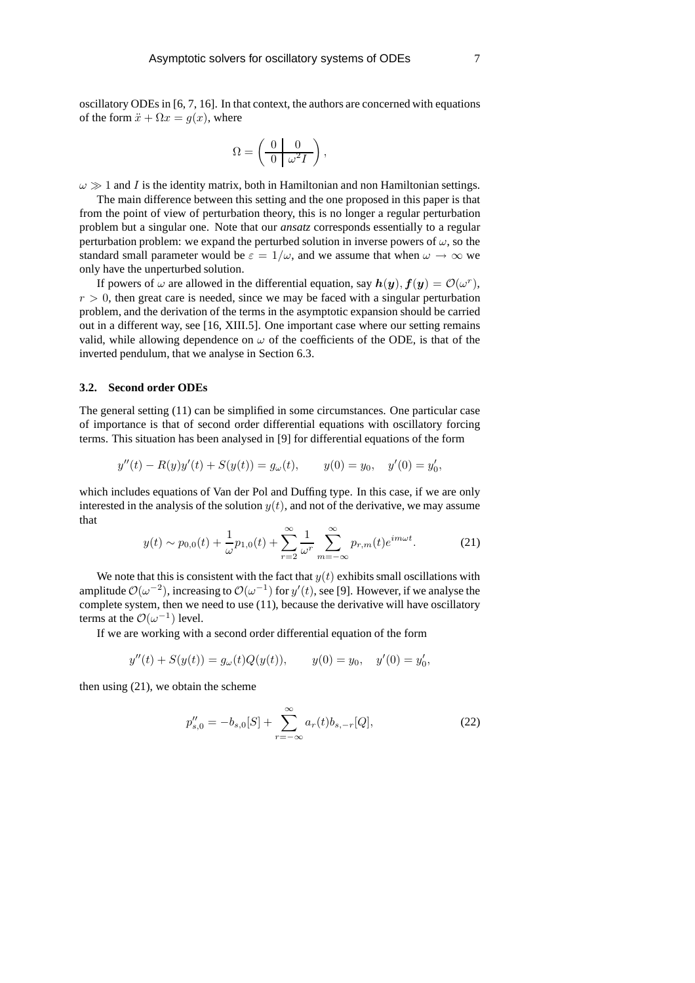oscillatory ODEs in [6, 7, 16]. In that context, the authors are concerned with equations of the form  $\ddot{x} + \Omega x = g(x)$ , where

$$
\Omega = \left(\begin{array}{c|c} 0 & 0 \\ \hline 0 & \omega^2 I \end{array}\right),\,
$$

 $\omega \gg 1$  and I is the identity matrix, both in Hamiltonian and non Hamiltonian settings.

The main difference between this setting and the one proposed in this paper is that from the point of view of perturbation theory, this is no longer a regular perturbation problem but a singular one. Note that our *ansatz* corresponds essentially to a regular perturbation problem: we expand the perturbed solution in inverse powers of  $\omega$ , so the standard small parameter would be  $\varepsilon = 1/\omega$ , and we assume that when  $\omega \to \infty$  we only have the unperturbed solution.

If powers of  $\omega$  are allowed in the differential equation, say  $h(y)$ ,  $f(y) = \mathcal{O}(\omega^r)$ ,  $r > 0$ , then great care is needed, since we may be faced with a singular perturbation problem, and the derivation of the terms in the asymptotic expansion should be carried out in a different way, see [16, XIII.5]. One important case where our setting remains valid, while allowing dependence on  $\omega$  of the coefficients of the ODE, is that of the inverted pendulum, that we analyse in Section 6.3.

#### **3.2. Second order ODEs**

The general setting (11) can be simplified in some circumstances. One particular case of importance is that of second order differential equations with oscillatory forcing terms. This situation has been analysed in [9] for differential equations of the form

$$
y''(t) - R(y)y'(t) + S(y(t)) = g_{\omega}(t), \qquad y(0) = y_0, \quad y'(0) = y'_0,
$$

which includes equations of Van der Pol and Duffing type. In this case, if we are only interested in the analysis of the solution  $y(t)$ , and not of the derivative, we may assume that

$$
y(t) \sim p_{0,0}(t) + \frac{1}{\omega} p_{1,0}(t) + \sum_{r=2}^{\infty} \frac{1}{\omega^r} \sum_{m=-\infty}^{\infty} p_{r,m}(t) e^{im\omega t}.
$$
 (21)

We note that this is consistent with the fact that  $y(t)$  exhibits small oscillations with amplitude  $\mathcal{O}(\omega^{-2})$ , increasing to  $\mathcal{O}(\omega^{-1})$  for  $y'(t)$ , see [9]. However, if we analyse the complete system, then we need to use (11), because the derivative will have oscillatory terms at the  $\mathcal{O}(\omega^{-1})$  level.

If we are working with a second order differential equation of the form

$$
y''(t) + S(y(t)) = g_{\omega}(t)Q(y(t)), \qquad y(0) = y_0, \quad y'(0) = y'_0,
$$

then using (21), we obtain the scheme

$$
p_{s,0}'' = -b_{s,0}[S] + \sum_{r=-\infty}^{\infty} a_r(t)b_{s,-r}[Q],
$$
\n(22)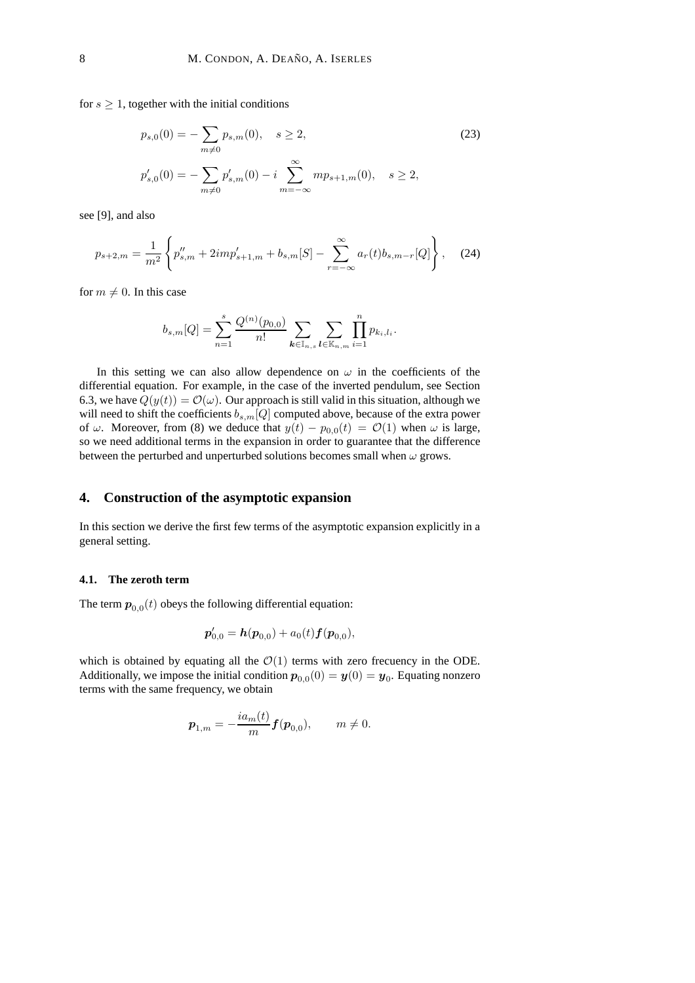for  $s \geq 1$ , together with the initial conditions

$$
p_{s,0}(0) = -\sum_{m \neq 0} p_{s,m}(0), \quad s \ge 2,
$$
\n
$$
p'_{s,0}(0) = -\sum_{m \neq 0} p'_{s,m}(0) - i \sum_{m = -\infty}^{\infty} m p_{s+1,m}(0), \quad s \ge 2,
$$
\n
$$
(23)
$$

see [9], and also

$$
p_{s+2,m} = \frac{1}{m^2} \left\{ p''_{s,m} + 2im p'_{s+1,m} + b_{s,m}[S] - \sum_{r=-\infty}^{\infty} a_r(t) b_{s,m-r}[Q] \right\},
$$
 (24)

for  $m \neq 0$ . In this case

$$
b_{s,m}[Q] = \sum_{n=1}^{s} \frac{Q^{(n)}(p_{0,0})}{n!} \sum_{k \in \mathbb{I}_{n,s}} \sum_{l \in \mathbb{K}_{n,m}} \prod_{i=1}^{n} p_{k_i,l_i}.
$$

In this setting we can also allow dependence on  $\omega$  in the coefficients of the differential equation. For example, in the case of the inverted pendulum, see Section 6.3, we have  $Q(y(t)) = O(\omega)$ . Our approach is still valid in this situation, although we will need to shift the coefficients  $b_{s,m}[Q]$  computed above, because of the extra power of  $\omega$ . Moreover, from (8) we deduce that  $y(t) - p_{0,0}(t) = \mathcal{O}(1)$  when  $\omega$  is large, so we need additional terms in the expansion in order to guarantee that the difference between the perturbed and unperturbed solutions becomes small when  $\omega$  grows.

## **4. Construction of the asymptotic expansion**

In this section we derive the first few terms of the asymptotic expansion explicitly in a general setting.

### **4.1. The zeroth term**

The term  $\boldsymbol{p}_{0,0}(t)$  obeys the following differential equation:

$$
\boldsymbol{p}'_{0,0} = \boldsymbol{h}(\boldsymbol{p}_{0,0}) + a_0(t)\boldsymbol{f}(\boldsymbol{p}_{0,0}),
$$

which is obtained by equating all the  $\mathcal{O}(1)$  terms with zero frecuency in the ODE. Additionally, we impose the initial condition  $p_{0,0}(0) = y(0) = y_0$ . Equating nonzero terms with the same frequency, we obtain

$$
\boldsymbol{p}_{1,m} = -\frac{ia_m(t)}{m} \boldsymbol{f}(\boldsymbol{p}_{0,0}), \qquad m \neq 0.
$$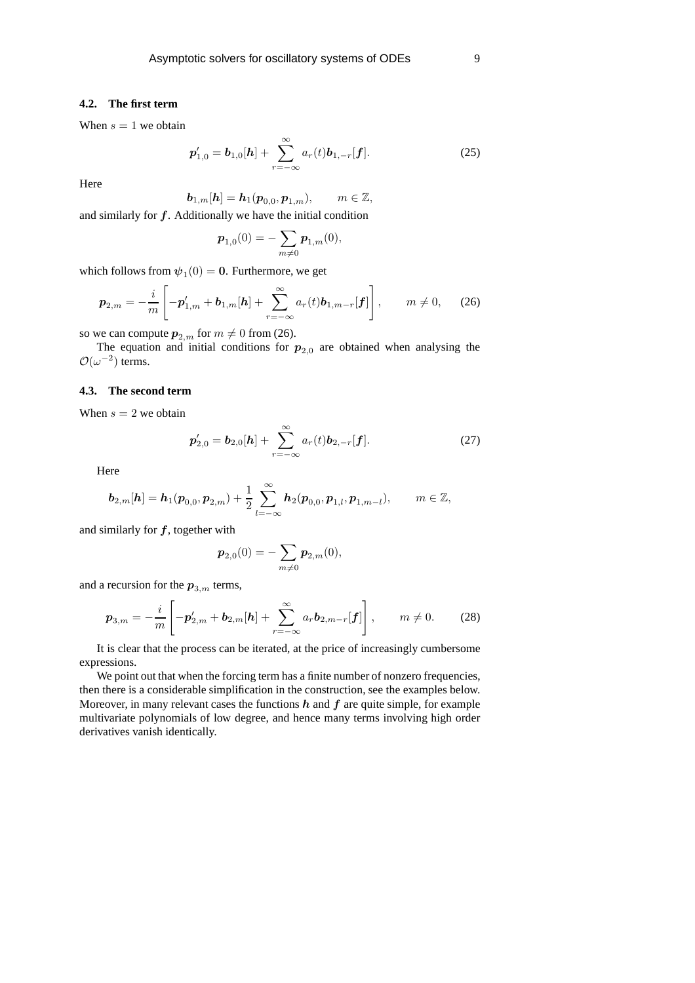## **4.2. The first term**

When  $s = 1$  we obtain

$$
\boldsymbol{p}'_{1,0} = \boldsymbol{b}_{1,0}[\boldsymbol{h}] + \sum_{r=-\infty}^{\infty} a_r(t) \boldsymbol{b}_{1,-r}[\boldsymbol{f}]. \tag{25}
$$

Here

 $\boldsymbol{b}_{1,m}[\boldsymbol{h}] = \boldsymbol{h}_1(\boldsymbol{p}_{0,0},\boldsymbol{p}_{1,m}), \qquad m \in \mathbb{Z},$ 

and similarly for  $f$ . Additionally we have the initial condition

$$
\boldsymbol{p}_{1,0}(0)=-\sum_{m\neq 0}\boldsymbol{p}_{1,m}(0),
$$

which follows from  $\psi_1(0) = \mathbf{0}$ . Furthermore, we get

$$
\boldsymbol{p}_{2,m} = -\frac{i}{m} \left[ -\boldsymbol{p}'_{1,m} + \boldsymbol{b}_{1,m}[\boldsymbol{h}] + \sum_{r=-\infty}^{\infty} a_r(t) \boldsymbol{b}_{1,m-r}[\boldsymbol{f}] \right], \qquad m \neq 0,
$$
 (26)

so we can compute  $p_{2,m}$  for  $m \neq 0$  from (26).

The equation and initial conditions for  $p_{2,0}$  are obtained when analysing the  $\mathcal{O}(\omega^{-2})$  terms.

# **4.3. The second term**

When  $s = 2$  we obtain

$$
\boldsymbol{p}'_{2,0} = \boldsymbol{b}_{2,0}[\boldsymbol{h}] + \sum_{r=-\infty}^{\infty} a_r(t) \boldsymbol{b}_{2,-r}[\boldsymbol{f}]. \tag{27}
$$

Here

$$
\boldsymbol{b}_{2,m}[\boldsymbol{h}]=\boldsymbol{h}_{1}(\boldsymbol{p}_{0,0},\boldsymbol{p}_{2,m})+\frac{1}{2}\sum_{l=-\infty}^{\infty}\boldsymbol{h}_{2}(\boldsymbol{p}_{0,0},\boldsymbol{p}_{1,l},\boldsymbol{p}_{1,m-l}),\qquad m\in\mathbb{Z},
$$

and similarly for  $f$ , together with

$$
\boldsymbol{p}_{2,0}(0)=-\sum_{m\neq 0}\boldsymbol{p}_{2,m}(0),
$$

and a recursion for the  $p_{3,m}$  terms,

$$
\boldsymbol{p}_{3,m} = -\frac{i}{m} \left[ -\boldsymbol{p}'_{2,m} + \boldsymbol{b}_{2,m}[\boldsymbol{h}] + \sum_{r=-\infty}^{\infty} a_r \boldsymbol{b}_{2,m-r}[\boldsymbol{f}] \right], \qquad m \neq 0. \tag{28}
$$

It is clear that the process can be iterated, at the price of increasingly cumbersome expressions.

We point out that when the forcing term has a finite number of nonzero frequencies, then there is a considerable simplification in the construction, see the examples below. Moreover, in many relevant cases the functions  $h$  and  $f$  are quite simple, for example multivariate polynomials of low degree, and hence many terms involving high order derivatives vanish identically.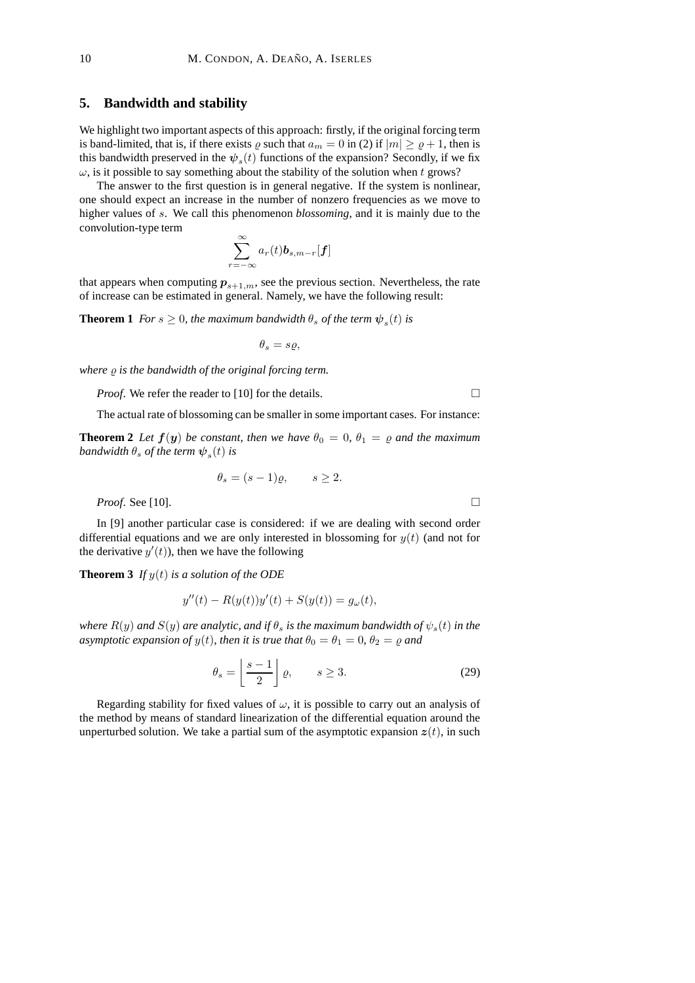### **5. Bandwidth and stability**

We highlight two important aspects of this approach: firstly, if the original forcing term is band-limited, that is, if there exists  $\varrho$  such that  $a_m = 0$  in (2) if  $|m| \ge \varrho + 1$ , then is this bandwidth preserved in the  $\psi_s(t)$  functions of the expansion? Secondly, if we fix  $\omega$ , is it possible to say something about the stability of the solution when t grows?

The answer to the first question is in general negative. If the system is nonlinear, one should expect an increase in the number of nonzero frequencies as we move to higher values of s. We call this phenomenon *blossoming*, and it is mainly due to the convolution-type term

$$
\sum_{r=-\infty}^{\infty} a_r(t) \boldsymbol{b}_{s,m-r}[\boldsymbol{f}]
$$

that appears when computing  $p_{s+1,m}$ , see the previous section. Nevertheless, the rate of increase can be estimated in general. Namely, we have the following result:

**Theorem 1** *For*  $s \geq 0$ *, the maximum bandwidth*  $\theta_s$  *of the term*  $\psi_s(t)$  *is* 

$$
\theta_s=s\varrho,
$$

*where*  $\rho$  *is the bandwidth of the original forcing term.* 

*Proof.* We refer the reader to [10] for the details.

The actual rate of blossoming can be smaller in some important cases. For instance:

**Theorem 2** *Let*  $f(y)$  *be constant, then we have*  $\theta_0 = 0$ ,  $\theta_1 = \rho$  *and the maximum*  $b$ andwidth  $\theta_s$  of the term  $\boldsymbol{\psi}_s(t)$  is

$$
\theta_s = (s-1)\varrho, \qquad s \ge 2.
$$

*Proof.* See [10]. □

In [9] another particular case is considered: if we are dealing with second order differential equations and we are only interested in blossoming for  $y(t)$  (and not for the derivative  $y'(t)$ ), then we have the following

**Theorem 3** *If*  $y(t)$  *is a solution of the ODE* 

$$
y''(t) - R(y(t))y'(t) + S(y(t)) = g_{\omega}(t),
$$

*where*  $R(y)$  *and*  $S(y)$  *are analytic, and if*  $\theta_s$  *is the maximum bandwidth of*  $\psi_s(t)$  *in the asymptotic expansion of*  $y(t)$ *, then it is true that*  $\theta_0 = \theta_1 = 0$ *,*  $\theta_2 = \varrho$  *and* 

$$
\theta_s = \left\lfloor \frac{s-1}{2} \right\rfloor \varrho, \qquad s \ge 3. \tag{29}
$$

Regarding stability for fixed values of  $\omega$ , it is possible to carry out an analysis of the method by means of standard linearization of the differential equation around the unperturbed solution. We take a partial sum of the asymptotic expansion  $z(t)$ , in such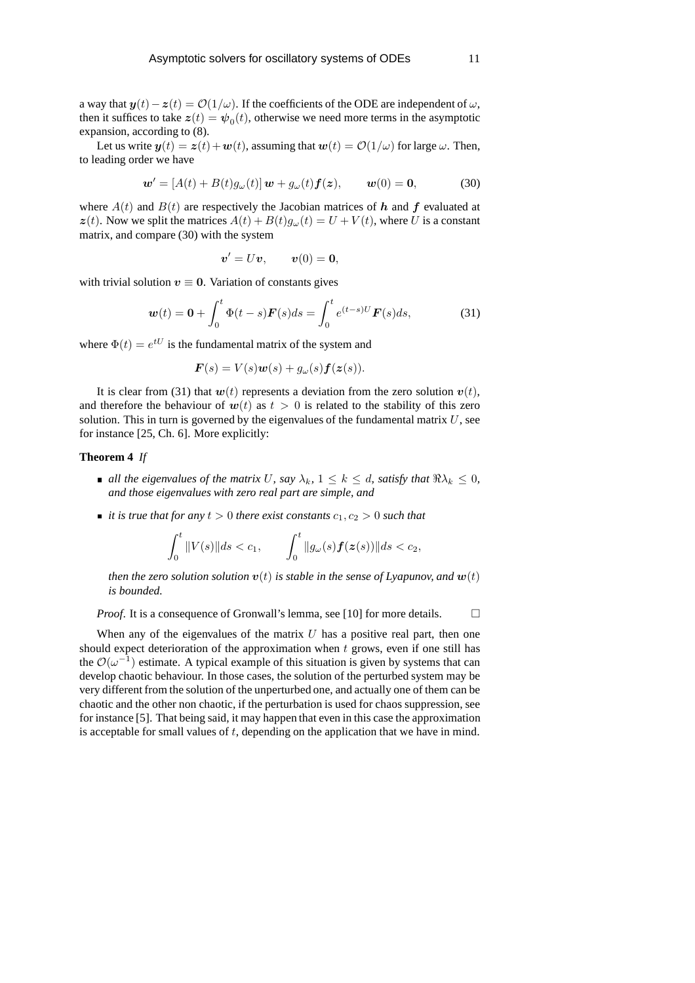a way that  $y(t) - z(t) = \mathcal{O}(1/\omega)$ . If the coefficients of the ODE are independent of  $\omega$ , then it suffices to take  $z(t) = \psi_0(t)$ , otherwise we need more terms in the asymptotic expansion, according to (8).

Let us write  $y(t) = z(t) + w(t)$ , assuming that  $w(t) = O(1/\omega)$  for large  $\omega$ . Then, to leading order we have

$$
\mathbf{w}' = [A(t) + B(t)g_{\omega}(t)]\mathbf{w} + g_{\omega}(t)\mathbf{f}(\mathbf{z}), \qquad \mathbf{w}(0) = \mathbf{0}, \tag{30}
$$

where  $A(t)$  and  $B(t)$  are respectively the Jacobian matrices of h and f evaluated at  $z(t)$ . Now we split the matrices  $A(t) + B(t)g_{\omega}(t) = U + V(t)$ , where U is a constant matrix, and compare (30) with the system

$$
\boldsymbol{v}' = U\boldsymbol{v}, \qquad \boldsymbol{v}(0) = \mathbf{0},
$$

with trivial solution  $v \equiv 0$ . Variation of constants gives

$$
\boldsymbol{w}(t) = \boldsymbol{0} + \int_0^t \Phi(t-s) \boldsymbol{F}(s) ds = \int_0^t e^{(t-s)U} \boldsymbol{F}(s) ds,\tag{31}
$$

where  $\Phi(t) = e^{tU}$  is the fundamental matrix of the system and

$$
\boldsymbol{F}(s) = V(s)\boldsymbol{w}(s) + g_{\omega}(s)\boldsymbol{f}(\boldsymbol{z}(s)).
$$

It is clear from (31) that  $w(t)$  represents a deviation from the zero solution  $v(t)$ , and therefore the behaviour of  $w(t)$  as  $t > 0$  is related to the stability of this zero solution. This in turn is governed by the eigenvalues of the fundamental matrix  $U$ , see for instance [25, Ch. 6]. More explicitly:

### **Theorem 4** *If*

- **a** *all the eigenvalues of the matrix* U, say  $\lambda_k$ ,  $1 \leq k \leq d$ , satisfy that  $\Re \lambda_k \leq 0$ , *and those eigenvalues with zero real part are simple, and*
- *it is true that for any*  $t > 0$  *there exist constants*  $c_1, c_2 > 0$  *such that*

$$
\int_0^t \|V(s)\| ds < c_1, \qquad \int_0^t \|g_\omega(s)\bm{f}(\bm{z}(s))\| ds < c_2,
$$

*then the zero solution solution*  $v(t)$  *is stable in the sense of Lyapunov, and*  $w(t)$ *is bounded.*

*Proof.* It is a consequence of Gronwall's lemma, see [10] for more details. □

When any of the eigenvalues of the matrix  $U$  has a positive real part, then one should expect deterioration of the approximation when  $t$  grows, even if one still has the  $\mathcal{O}(\omega^{-1})$  estimate. A typical example of this situation is given by systems that can develop chaotic behaviour. In those cases, the solution of the perturbed system may be very different from the solution of the unperturbed one, and actually one of them can be chaotic and the other non chaotic, if the perturbation is used for chaos suppression, see for instance [5]. That being said, it may happen that even in this case the approximation is acceptable for small values of  $t$ , depending on the application that we have in mind.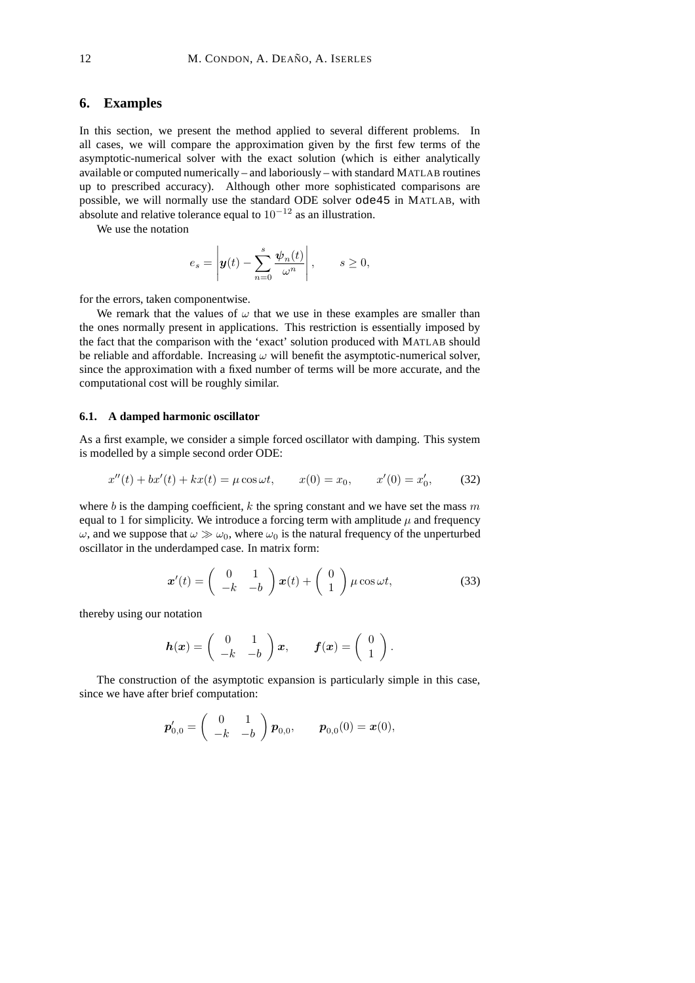## **6. Examples**

In this section, we present the method applied to several different problems. In all cases, we will compare the approximation given by the first few terms of the asymptotic-numerical solver with the exact solution (which is either analytically available or computed numerically – and laboriously – with standard MATLAB routines up to prescribed accuracy). Although other more sophisticated comparisons are possible, we will normally use the standard ODE solver ode45 in MATLAB, with absolute and relative tolerance equal to  $10^{-12}$  as an illustration.

We use the notation

$$
e_s = \left| \boldsymbol{y}(t) - \sum_{n=0}^s \frac{\boldsymbol{\psi}_n(t)}{\omega^n} \right|, \qquad s \ge 0,
$$

for the errors, taken componentwise.

We remark that the values of  $\omega$  that we use in these examples are smaller than the ones normally present in applications. This restriction is essentially imposed by the fact that the comparison with the 'exact' solution produced with MATLAB should be reliable and affordable. Increasing  $\omega$  will benefit the asymptotic-numerical solver, since the approximation with a fixed number of terms will be more accurate, and the computational cost will be roughly similar.

### **6.1. A damped harmonic oscillator**

As a first example, we consider a simple forced oscillator with damping. This system is modelled by a simple second order ODE:

$$
x''(t) + bx'(t) + kx(t) = \mu \cos \omega t, \qquad x(0) = x_0, \qquad x'(0) = x'_0,\tag{32}
$$

where b is the damping coefficient, k the spring constant and we have set the mass m equal to 1 for simplicity. We introduce a forcing term with amplitude  $\mu$  and frequency  $\omega$ , and we suppose that  $\omega \gg \omega_0$ , where  $\omega_0$  is the natural frequency of the unperturbed oscillator in the underdamped case. In matrix form:

$$
\boldsymbol{x}'(t) = \begin{pmatrix} 0 & 1 \\ -k & -b \end{pmatrix} \boldsymbol{x}(t) + \begin{pmatrix} 0 \\ 1 \end{pmatrix} \mu \cos \omega t, \tag{33}
$$

thereby using our notation

$$
\boldsymbol{h}(\boldsymbol{x}) = \begin{pmatrix} 0 & 1 \\ -k & -b \end{pmatrix} \boldsymbol{x}, \qquad \boldsymbol{f}(\boldsymbol{x}) = \begin{pmatrix} 0 \\ 1 \end{pmatrix}.
$$

The construction of the asymptotic expansion is particularly simple in this case, since we have after brief computation:

$$
\boldsymbol{p}'_{0,0} = \begin{pmatrix} 0 & 1 \\ -k & -b \end{pmatrix} \boldsymbol{p}_{0,0}, \quad \boldsymbol{p}_{0,0}(0) = \boldsymbol{x}(0),
$$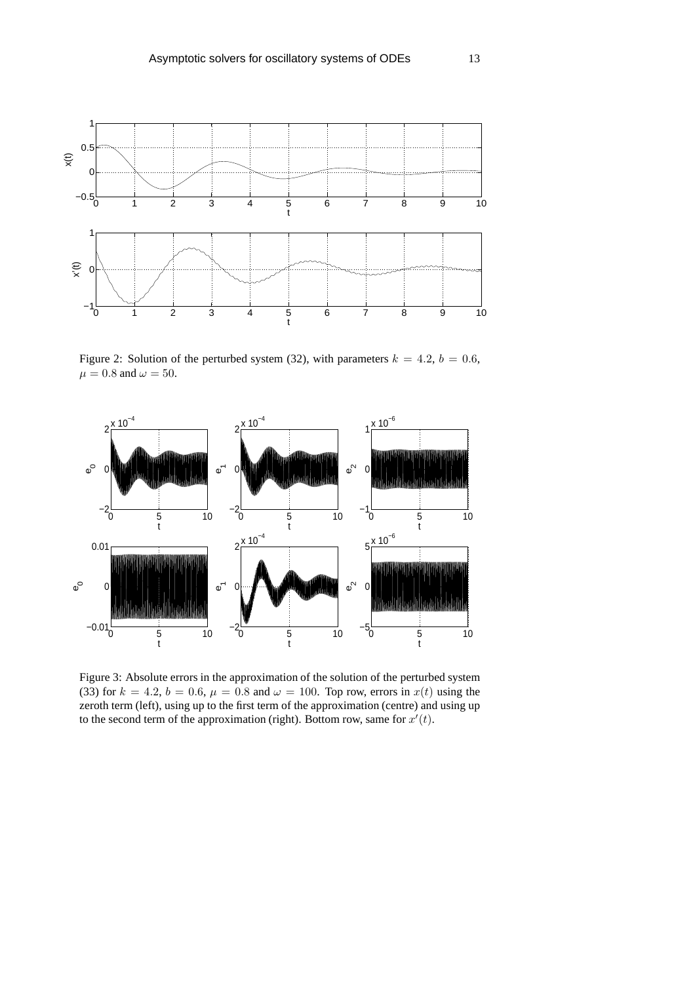

Figure 2: Solution of the perturbed system (32), with parameters  $k = 4.2$ ,  $b = 0.6$ ,  $\mu = 0.8$  and  $\omega = 50$ .



Figure 3: Absolute errors in the approximation of the solution of the perturbed system (33) for  $k = 4.2$ ,  $b = 0.6$ ,  $\mu = 0.8$  and  $\omega = 100$ . Top row, errors in  $x(t)$  using the zeroth term (left), using up to the first term of the approximation (centre) and using up to the second term of the approximation (right). Bottom row, same for  $x'(t)$ .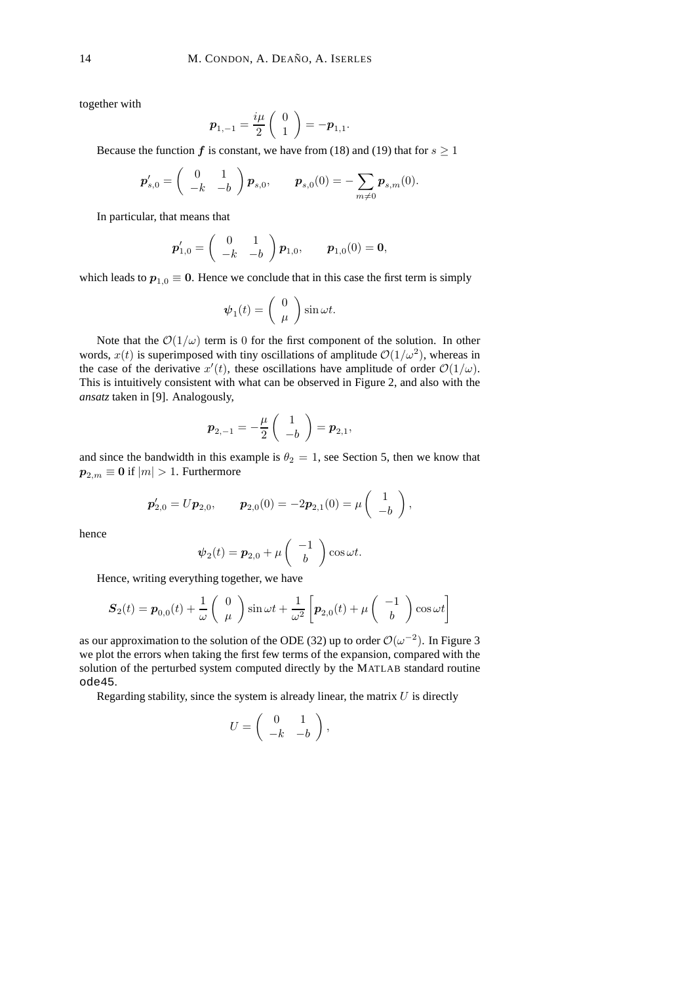together with

$$
\boldsymbol{p}_{1,-1} = \frac{i\mu}{2} \left( \begin{array}{c} 0 \\ 1 \end{array} \right) = -\boldsymbol{p}_{1,1}.
$$

Because the function f is constant, we have from (18) and (19) that for  $s \ge 1$ 

$$
\boldsymbol{p}_{s,0}' = \begin{pmatrix} 0 & 1 \\ -k & -b \end{pmatrix} \boldsymbol{p}_{s,0}, \quad \boldsymbol{p}_{s,0}(0) = -\sum_{m \neq 0} \boldsymbol{p}_{s,m}(0).
$$

In particular, that means that

$$
\boldsymbol{p}'_{1,0} = \begin{pmatrix} 0 & 1 \\ -k & -b \end{pmatrix} \boldsymbol{p}_{1,0}, \quad \boldsymbol{p}_{1,0}(0) = \mathbf{0},
$$

which leads to  $p_{1,0} \equiv 0$ . Hence we conclude that in this case the first term is simply

$$
\boldsymbol{\psi}_1(t) = \begin{pmatrix} 0 \\ \mu \end{pmatrix} \sin \omega t.
$$

Note that the  $\mathcal{O}(1/\omega)$  term is 0 for the first component of the solution. In other words,  $x(t)$  is superimposed with tiny oscillations of amplitude  $\mathcal{O}(1/\omega^2)$ , whereas in the case of the derivative  $x'(t)$ , these oscillations have amplitude of order  $\mathcal{O}(1/\omega)$ . This is intuitively consistent with what can be observed in Figure 2, and also with the *ansatz* taken in [9]. Analogously,

$$
\boldsymbol{p}_{2,-1}=-\frac{\mu}{2}\left(\begin{array}{c}1\\-b\end{array}\right)=\boldsymbol{p}_{2,1},
$$

and since the bandwidth in this example is  $\theta_2 = 1$ , see Section 5, then we know that  $p_{2,m} \equiv 0$  if  $|m| > 1$ . Furthermore

$$
\boldsymbol{p}'_{2,0} = U\boldsymbol{p}_{2,0}, \qquad \boldsymbol{p}_{2,0}(0) = -2\boldsymbol{p}_{2,1}(0) = \mu \begin{pmatrix} 1 \\ -b \end{pmatrix},
$$

hence

$$
\psi_2(t) = p_{2,0} + \mu \begin{pmatrix} -1 \\ b \end{pmatrix} \cos \omega t.
$$

Hence, writing everything together, we have

$$
\boldsymbol{S}_{2}(t) = \boldsymbol{p}_{0,0}(t) + \frac{1}{\omega} \begin{pmatrix} 0 \\ \mu \end{pmatrix} \sin \omega t + \frac{1}{\omega^2} \left[ \boldsymbol{p}_{2,0}(t) + \mu \begin{pmatrix} -1 \\ b \end{pmatrix} \cos \omega t \right]
$$

as our approximation to the solution of the ODE (32) up to order  $\mathcal{O}(\omega^{-2})$ . In Figure 3 we plot the errors when taking the first few terms of the expansion, compared with the solution of the perturbed system computed directly by the MATLAB standard routine ode45.

Regarding stability, since the system is already linear, the matrix  $U$  is directly

$$
U = \left( \begin{array}{cc} 0 & 1 \\ -k & -b \end{array} \right),
$$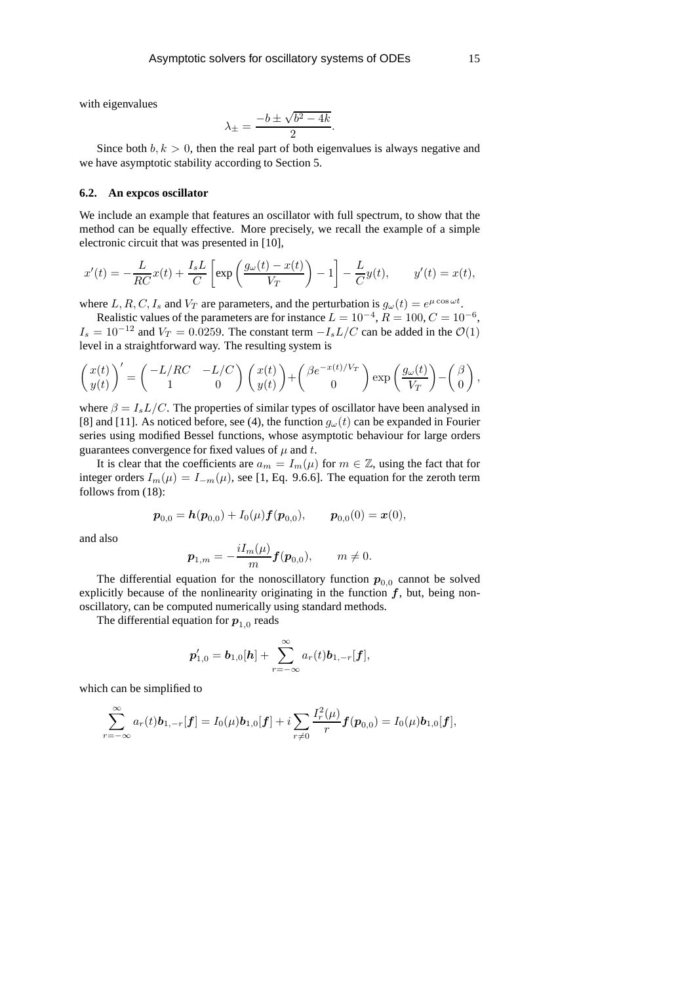with eigenvalues

$$
\lambda_{\pm} = \frac{-b \pm \sqrt{b^2 - 4k}}{2}.
$$

Since both  $b, k > 0$ , then the real part of both eigenvalues is always negative and we have asymptotic stability according to Section 5.

### **6.2. An expcos oscillator**

We include an example that features an oscillator with full spectrum, to show that the method can be equally effective. More precisely, we recall the example of a simple electronic circuit that was presented in [10],

$$
x'(t) = -\frac{L}{RC}x(t) + \frac{I_s L}{C} \left[ \exp\left(\frac{g_\omega(t) - x(t)}{V_T}\right) - 1 \right] - \frac{L}{C}y(t), \qquad y'(t) = x(t),
$$

where  $L, R, C, I_s$  and  $V_T$  are parameters, and the perturbation is  $g_{\omega}(t) = e^{\mu \cos \omega t}$ .

Realistic values of the parameters are for instance  $L = 10^{-4}$ ,  $R = 100$ ,  $C = 10^{-6}$ ,  $I_s = 10^{-12}$  and  $V_T = 0.0259$ . The constant term  $-I_s L/C$  can be added in the  $\mathcal{O}(1)$ level in a straightforward way. The resulting system is

$$
\begin{pmatrix} x(t) \\ y(t) \end{pmatrix}' = \begin{pmatrix} -L/RC & -L/C \\ 1 & 0 \end{pmatrix} \begin{pmatrix} x(t) \\ y(t) \end{pmatrix} + \begin{pmatrix} \beta e^{-x(t)/V_T} \\ 0 \end{pmatrix} \exp\left(\frac{g_{\omega}(t)}{V_T}\right) - \begin{pmatrix} \beta \\ 0 \end{pmatrix},
$$

where  $\beta = I_s L/C$ . The properties of similar types of oscillator have been analysed in [8] and [11]. As noticed before, see (4), the function  $g_{\omega}(t)$  can be expanded in Fourier series using modified Bessel functions, whose asymptotic behaviour for large orders guarantees convergence for fixed values of  $\mu$  and t.

It is clear that the coefficients are  $a_m = I_m(\mu)$  for  $m \in \mathbb{Z}$ , using the fact that for integer orders  $I_m(\mu) = I_{-m}(\mu)$ , see [1, Eq. 9.6.6]. The equation for the zeroth term follows from (18):

$$
\boldsymbol{p}_{0,0} = \boldsymbol{h}(\boldsymbol{p}_{0,0}) + I_0(\mu) \boldsymbol{f}(\boldsymbol{p}_{0,0}), \qquad \boldsymbol{p}_{0,0}(0) = \boldsymbol{x}(0),
$$

and also

$$
\boldsymbol{p}_{1,m} = -\frac{iI_m(\mu)}{m} \boldsymbol{f}(\boldsymbol{p}_{0,0}), \qquad m \neq 0.
$$

The differential equation for the nonoscillatory function  $p_{0,0}$  cannot be solved explicitly because of the nonlinearity originating in the function  $f$ , but, being nonoscillatory, can be computed numerically using standard methods.

The differential equation for  $\boldsymbol{p}_{1,0}$  reads

$$
\boldsymbol{p}'_{1,0} = \boldsymbol{b}_{1,0}[\boldsymbol{h}] + \sum_{r=-\infty}^{\infty} a_r(t) \boldsymbol{b}_{1,-r}[\boldsymbol{f}],
$$

which can be simplified to

$$
\sum_{r=-\infty}^{\infty} a_r(t) \boldsymbol{b}_{1,-r}[f] = I_0(\mu) \boldsymbol{b}_{1,0}[f] + i \sum_{r \neq 0} \frac{I_r^2(\mu)}{r} f(\boldsymbol{p}_{0,0}) = I_0(\mu) \boldsymbol{b}_{1,0}[f],
$$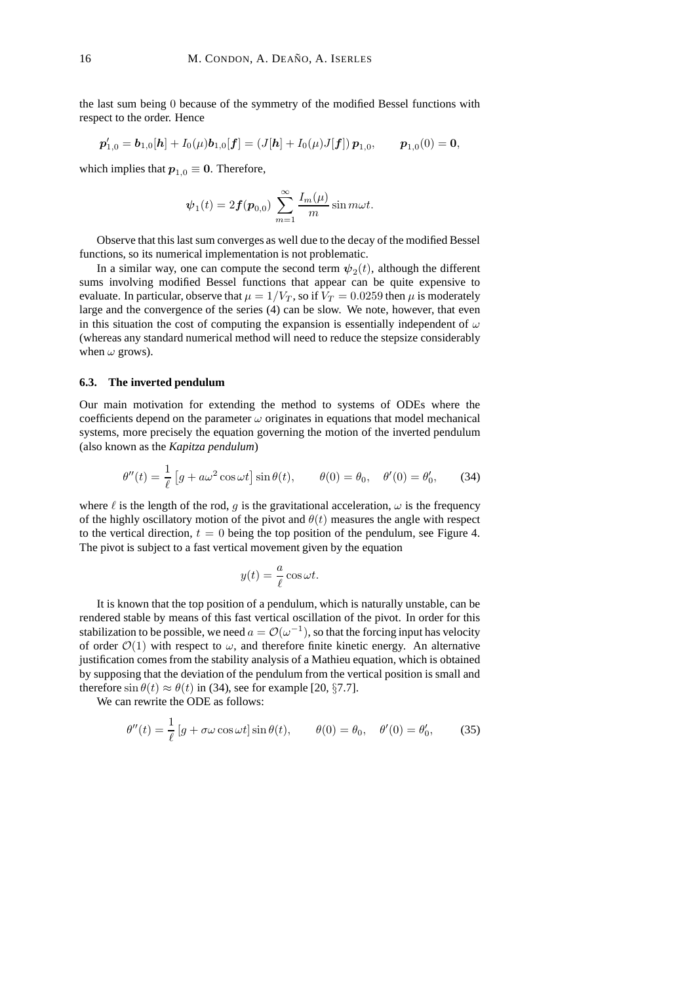the last sum being 0 because of the symmetry of the modified Bessel functions with respect to the order. Hence

$$
\boldsymbol{p}'_{1,0} = \boldsymbol{b}_{1,0}[\boldsymbol{h}] + I_0(\mu)\boldsymbol{b}_{1,0}[\boldsymbol{f}] = (J[\boldsymbol{h}] + I_0(\mu)J[\boldsymbol{f}])\boldsymbol{p}_{1,0}, \qquad \boldsymbol{p}_{1,0}(0) = \boldsymbol{0},
$$

which implies that  $p_{1,0} \equiv 0$ . Therefore,

$$
\psi_1(t) = 2f(\mathbf{p}_{0,0}) \sum_{m=1}^{\infty} \frac{I_m(\mu)}{m} \sin m\omega t.
$$

Observe that this last sum converges as well due to the decay of the modified Bessel functions, so its numerical implementation is not problematic.

In a similar way, one can compute the second term  $\psi_2(t)$ , although the different sums involving modified Bessel functions that appear can be quite expensive to evaluate. In particular, observe that  $\mu = 1/V_T$ , so if  $V_T = 0.0259$  then  $\mu$  is moderately large and the convergence of the series (4) can be slow. We note, however, that even in this situation the cost of computing the expansion is essentially independent of  $\omega$ (whereas any standard numerical method will need to reduce the stepsize considerably when  $\omega$  grows).

### **6.3. The inverted pendulum**

Our main motivation for extending the method to systems of ODEs where the coefficients depend on the parameter  $\omega$  originates in equations that model mechanical systems, more precisely the equation governing the motion of the inverted pendulum (also known as the *Kapitza pendulum*)

$$
\theta''(t) = \frac{1}{\ell} \left[ g + a\omega^2 \cos \omega t \right] \sin \theta(t), \qquad \theta(0) = \theta_0, \quad \theta'(0) = \theta'_0,\tag{34}
$$

where  $\ell$  is the length of the rod, g is the gravitational acceleration,  $\omega$  is the frequency of the highly oscillatory motion of the pivot and  $\theta(t)$  measures the angle with respect to the vertical direction,  $t = 0$  being the top position of the pendulum, see Figure 4. The pivot is subject to a fast vertical movement given by the equation

$$
y(t) = \frac{a}{\ell} \cos \omega t.
$$

It is known that the top position of a pendulum, which is naturally unstable, can be rendered stable by means of this fast vertical oscillation of the pivot. In order for this stabilization to be possible, we need  $a = \mathcal{O}(\omega^{-1})$ , so that the forcing input has velocity of order  $\mathcal{O}(1)$  with respect to  $\omega$ , and therefore finite kinetic energy. An alternative justification comes from the stability analysis of a Mathieu equation, which is obtained by supposing that the deviation of the pendulum from the vertical position is small and therefore  $\sin \theta(t) \approx \theta(t)$  in (34), see for example [20, §7.7].

We can rewrite the ODE as follows:

$$
\theta''(t) = \frac{1}{\ell} \left[ g + \sigma \omega \cos \omega t \right] \sin \theta(t), \qquad \theta(0) = \theta_0, \quad \theta'(0) = \theta'_0,\tag{35}
$$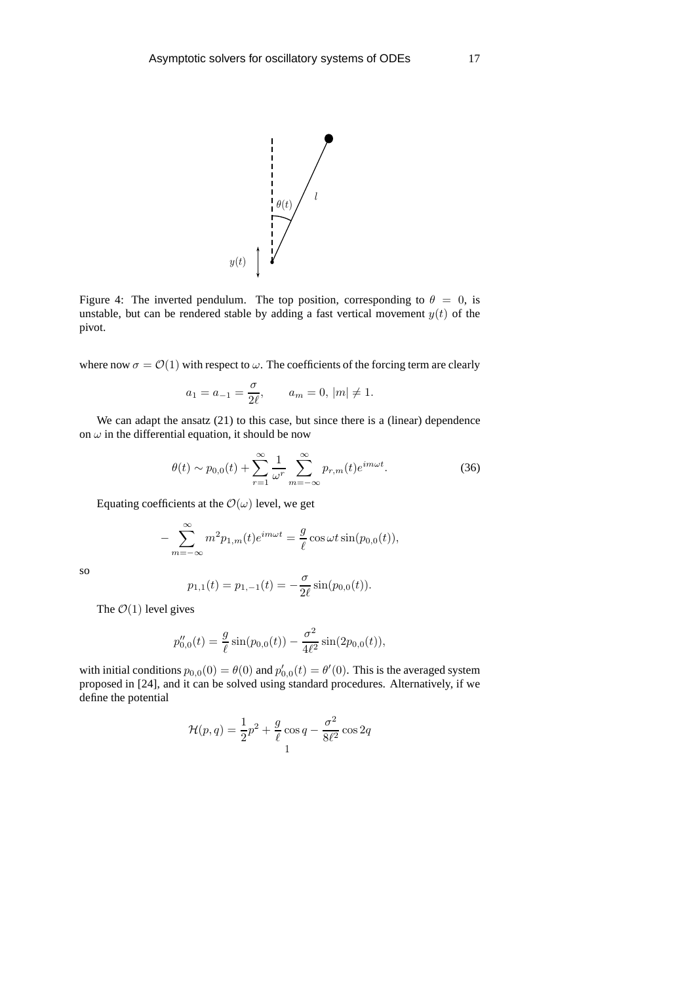

Figure 4: The inverted pendulum. The top position, corresponding to  $\theta = 0$ , is unstable, but can be rendered stable by adding a fast vertical movement  $y(t)$  of the pivot.

where now  $\sigma = \mathcal{O}(1)$  with respect to  $\omega$ . The coefficients of the forcing term are clearly

$$
a_1 = a_{-1} = \frac{\sigma}{2\ell}, \qquad a_m = 0, |m| \neq 1.
$$

We can adapt the ansatz (21) to this case, but since there is a (linear) dependence on  $\omega$  in the differential equation, it should be now

$$
\theta(t) \sim p_{0,0}(t) + \sum_{r=1}^{\infty} \frac{1}{\omega^r} \sum_{m=-\infty}^{\infty} p_{r,m}(t) e^{im\omega t}.
$$
 (36)

Equating coefficients at the  $\mathcal{O}(\omega)$  level, we get

$$
-\sum_{m=-\infty}^{\infty} m^2 p_{1,m}(t) e^{im\omega t} = \frac{g}{\ell} \cos \omega t \sin(p_{0,0}(t)),
$$

so

$$
p_{1,1}(t) = p_{1,-1}(t) = -\frac{\sigma}{2\ell} \sin(p_{0,0}(t)).
$$

The  $\mathcal{O}(1)$  level gives

$$
p_{0,0}''(t) = \frac{g}{\ell} \sin(p_{0,0}(t)) - \frac{\sigma^2}{4\ell^2} \sin(2p_{0,0}(t)),
$$

with initial conditions  $p_{0,0}(0) = \theta(0)$  and  $p'_{0,0}(t) = \theta'(0)$ . This is the averaged system proposed in [24], and it can be solved using standard procedures. Alternatively, if we define the potential

$$
\mathcal{H}(p,q) = \frac{1}{2}p^2 + \frac{g}{\ell}\cos q - \frac{\sigma^2}{8\ell^2}\cos 2q
$$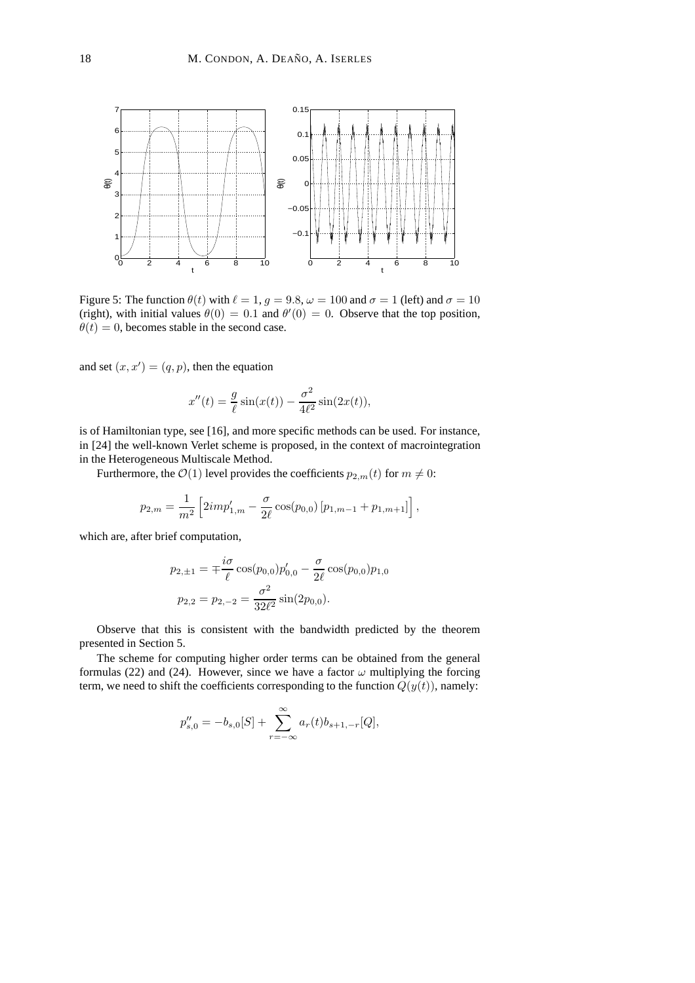

Figure 5: The function  $\theta(t)$  with  $\ell = 1$ ,  $g = 9.8$ ,  $\omega = 100$  and  $\sigma = 1$  (left) and  $\sigma = 10$ (right), with initial values  $\theta(0) = 0.1$  and  $\theta'(0) = 0$ . Observe that the top position,  $\theta(t) = 0$ , becomes stable in the second case.

and set  $(x, x') = (q, p)$ , then the equation

$$
x''(t) = \frac{g}{\ell} \sin(x(t)) - \frac{\sigma^2}{4\ell^2} \sin(2x(t)),
$$

is of Hamiltonian type, see [16], and more specific methods can be used. For instance, in [24] the well-known Verlet scheme is proposed, in the context of macrointegration in the Heterogeneous Multiscale Method.

Furthermore, the  $\mathcal{O}(1)$  level provides the coefficients  $p_{2,m}(t)$  for  $m \neq 0$ :

$$
p_{2,m} = \frac{1}{m^2} \left[ 2im p'_{1,m} - \frac{\sigma}{2\ell} \cos(p_{0,0}) \left[ p_{1,m-1} + p_{1,m+1} \right] \right],
$$

which are, after brief computation,

$$
p_{2,\pm 1} = \mp \frac{i\sigma}{\ell} \cos(p_{0,0}) p'_{0,0} - \frac{\sigma}{2\ell} \cos(p_{0,0}) p_{1,0}
$$

$$
p_{2,2} = p_{2,-2} = \frac{\sigma^2}{32\ell^2} \sin(2p_{0,0}).
$$

Observe that this is consistent with the bandwidth predicted by the theorem presented in Section 5.

The scheme for computing higher order terms can be obtained from the general formulas (22) and (24). However, since we have a factor  $\omega$  multiplying the forcing term, we need to shift the coefficients corresponding to the function  $Q(y(t))$ , namely:

$$
p_{s,0}'' = -b_{s,0}[S] + \sum_{r=-\infty}^{\infty} a_r(t)b_{s+1,-r}[Q],
$$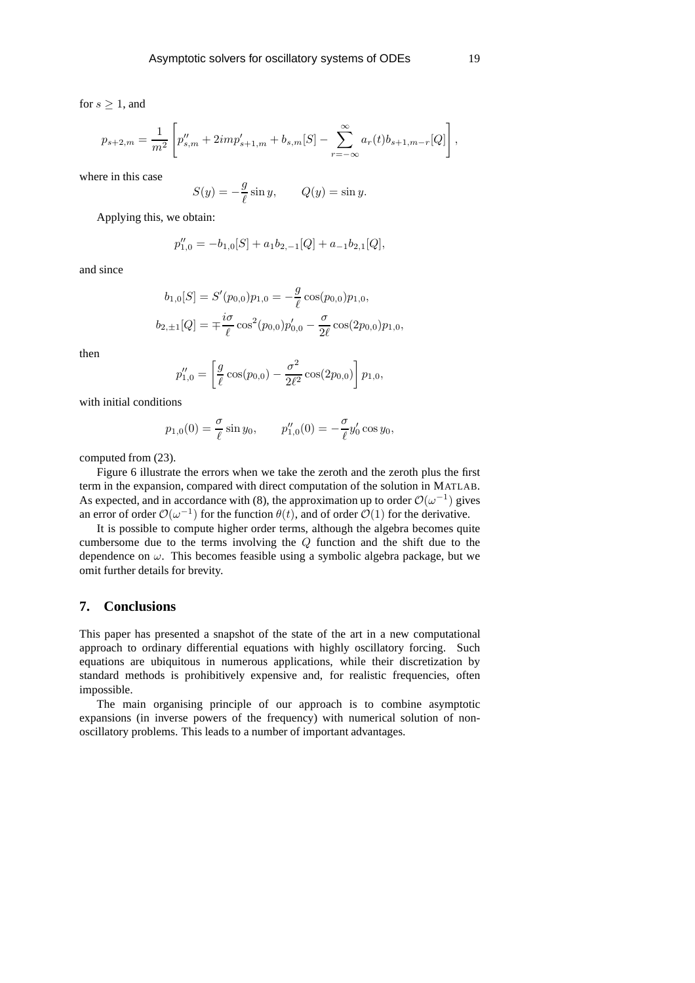$$
p_{s+2,m} = \frac{1}{m^2} \left[ p''_{s,m} + 2im p'_{s+1,m} + b_{s,m}[S] - \sum_{r=-\infty}^{\infty} a_r(t) b_{s+1,m-r}[Q] \right],
$$

where in this case

$$
S(y) = -\frac{g}{\ell} \sin y, \qquad Q(y) = \sin y.
$$

Applying this, we obtain:

$$
p_{1,0}'' = -b_{1,0}[S] + a_1b_{2,-1}[Q] + a_{-1}b_{2,1}[Q],
$$

and since

$$
b_{1,0}[S] = S'(p_{0,0})p_{1,0} = -\frac{g}{\ell}\cos(p_{0,0})p_{1,0},
$$
  

$$
b_{2,\pm 1}[Q] = \pm \frac{i\sigma}{\ell}\cos^2(p_{0,0})p'_{0,0} - \frac{\sigma}{2\ell}\cos(2p_{0,0})p_{1,0},
$$

then

$$
p_{1,0}'' = \left[\frac{g}{\ell}\cos(p_{0,0}) - \frac{\sigma^2}{2\ell^2}\cos(2p_{0,0})\right]p_{1,0},
$$

with initial conditions

$$
p_{1,0}(0) = \frac{\sigma}{\ell} \sin y_0, \qquad p_{1,0}''(0) = -\frac{\sigma}{\ell} y_0' \cos y_0,
$$

computed from (23).

Figure 6 illustrate the errors when we take the zeroth and the zeroth plus the first term in the expansion, compared with direct computation of the solution in MATLAB. As expected, and in accordance with (8), the approximation up to order  $\mathcal{O}(\omega^{-1})$  gives an error of order  $\mathcal{O}(\omega^{-1})$  for the function  $\theta(t)$ , and of order  $\mathcal{O}(1)$  for the derivative.

It is possible to compute higher order terms, although the algebra becomes quite cumbersome due to the terms involving the Q function and the shift due to the dependence on  $\omega$ . This becomes feasible using a symbolic algebra package, but we omit further details for brevity.

## **7. Conclusions**

This paper has presented a snapshot of the state of the art in a new computational approach to ordinary differential equations with highly oscillatory forcing. Such equations are ubiquitous in numerous applications, while their discretization by standard methods is prohibitively expensive and, for realistic frequencies, often impossible.

The main organising principle of our approach is to combine asymptotic expansions (in inverse powers of the frequency) with numerical solution of nonoscillatory problems. This leads to a number of important advantages.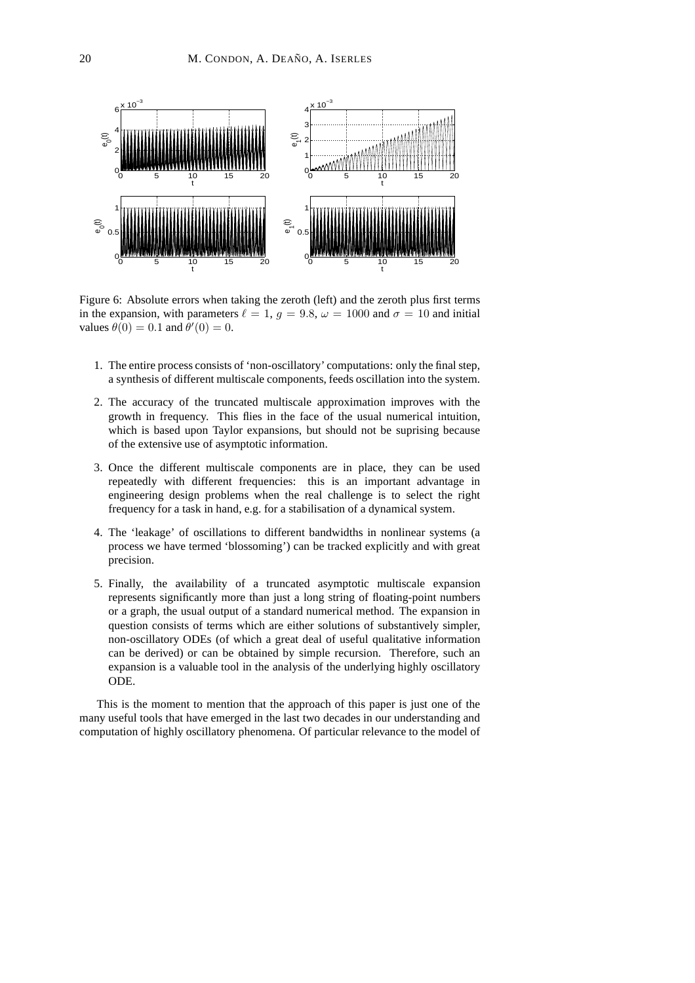

Figure 6: Absolute errors when taking the zeroth (left) and the zeroth plus first terms in the expansion, with parameters  $\ell = 1, g = 9.8, \omega = 1000$  and  $\sigma = 10$  and initial values  $\theta(0) = 0.1$  and  $\theta'(0) = 0$ .

- 1. The entire process consists of 'non-oscillatory' computations: only the final step, a synthesis of different multiscale components, feeds oscillation into the system.
- 2. The accuracy of the truncated multiscale approximation improves with the growth in frequency. This flies in the face of the usual numerical intuition, which is based upon Taylor expansions, but should not be suprising because of the extensive use of asymptotic information.
- 3. Once the different multiscale components are in place, they can be used repeatedly with different frequencies: this is an important advantage in engineering design problems when the real challenge is to select the right frequency for a task in hand, e.g. for a stabilisation of a dynamical system.
- 4. The 'leakage' of oscillations to different bandwidths in nonlinear systems (a process we have termed 'blossoming') can be tracked explicitly and with great precision.
- 5. Finally, the availability of a truncated asymptotic multiscale expansion represents significantly more than just a long string of floating-point numbers or a graph, the usual output of a standard numerical method. The expansion in question consists of terms which are either solutions of substantively simpler, non-oscillatory ODEs (of which a great deal of useful qualitative information can be derived) or can be obtained by simple recursion. Therefore, such an expansion is a valuable tool in the analysis of the underlying highly oscillatory ODE.

This is the moment to mention that the approach of this paper is just one of the many useful tools that have emerged in the last two decades in our understanding and computation of highly oscillatory phenomena. Of particular relevance to the model of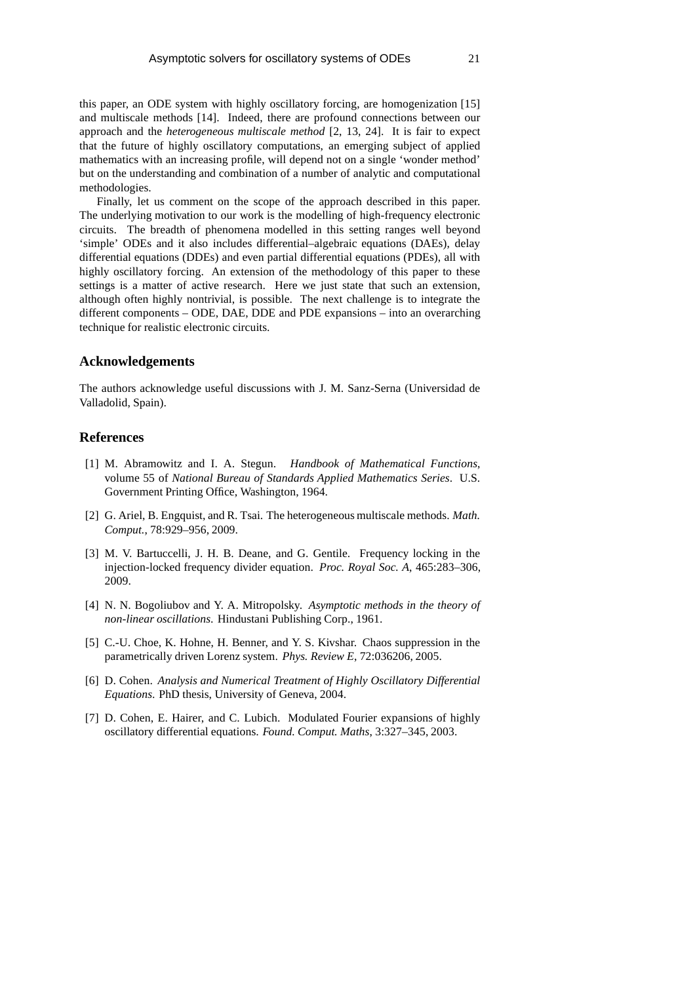this paper, an ODE system with highly oscillatory forcing, are homogenization [15] and multiscale methods [14]. Indeed, there are profound connections between our approach and the *heterogeneous multiscale method* [2, 13, 24]. It is fair to expect that the future of highly oscillatory computations, an emerging subject of applied mathematics with an increasing profile, will depend not on a single 'wonder method' but on the understanding and combination of a number of analytic and computational methodologies.

Finally, let us comment on the scope of the approach described in this paper. The underlying motivation to our work is the modelling of high-frequency electronic circuits. The breadth of phenomena modelled in this setting ranges well beyond 'simple' ODEs and it also includes differential–algebraic equations (DAEs), delay differential equations (DDEs) and even partial differential equations (PDEs), all with highly oscillatory forcing. An extension of the methodology of this paper to these settings is a matter of active research. Here we just state that such an extension, although often highly nontrivial, is possible. The next challenge is to integrate the different components – ODE, DAE, DDE and PDE expansions – into an overarching technique for realistic electronic circuits.

### **Acknowledgements**

The authors acknowledge useful discussions with J. M. Sanz-Serna (Universidad de Valladolid, Spain).

## **References**

- [1] M. Abramowitz and I. A. Stegun. *Handbook of Mathematical Functions*, volume 55 of *National Bureau of Standards Applied Mathematics Series*. U.S. Government Printing Office, Washington, 1964.
- [2] G. Ariel, B. Engquist, and R. Tsai. The heterogeneous multiscale methods. *Math. Comput.*, 78:929–956, 2009.
- [3] M. V. Bartuccelli, J. H. B. Deane, and G. Gentile. Frequency locking in the injection-locked frequency divider equation. *Proc. Royal Soc. A*, 465:283–306, 2009.
- [4] N. N. Bogoliubov and Y. A. Mitropolsky. *Asymptotic methods in the theory of non-linear oscillations*. Hindustani Publishing Corp., 1961.
- [5] C.-U. Choe, K. Hohne, H. Benner, and Y. S. Kivshar. Chaos suppression in the parametrically driven Lorenz system. *Phys. Review E*, 72:036206, 2005.
- [6] D. Cohen. *Analysis and Numerical Treatment of Highly Oscillatory Differential Equations*. PhD thesis, University of Geneva, 2004.
- [7] D. Cohen, E. Hairer, and C. Lubich. Modulated Fourier expansions of highly oscillatory differential equations. *Found. Comput. Maths*, 3:327–345, 2003.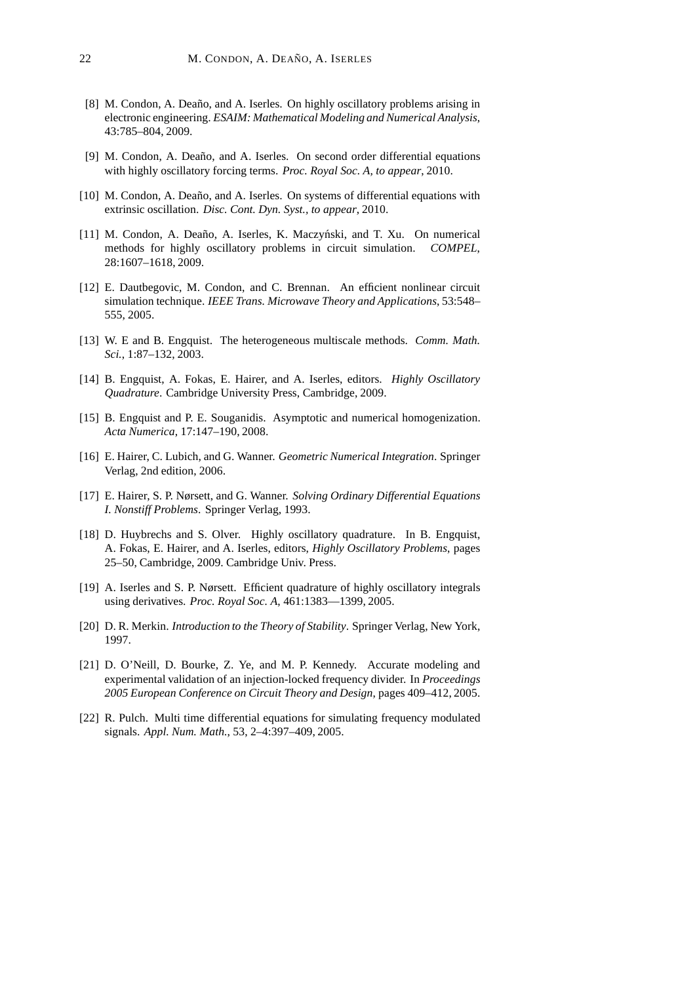- [8] M. Condon, A. Deaño, and A. Iserles. On highly oscillatory problems arising in electronic engineering. *ESAIM: Mathematical Modeling and Numerical Analysis*, 43:785–804, 2009.
- [9] M. Condon, A. Deaño, and A. Iserles. On second order differential equations with highly oscillatory forcing terms. *Proc. Royal Soc. A, to appear*, 2010.
- [10] M. Condon, A. Deaño, and A. Iserles. On systems of differential equations with extrinsic oscillation. *Disc. Cont. Dyn. Syst., to appear*, 2010.
- [11] M. Condon, A. Deaño, A. Iserles, K. Maczyński, and T. Xu. On numerical methods for highly oscillatory problems in circuit simulation. *COMPEL*, 28:1607–1618, 2009.
- [12] E. Dautbegovic, M. Condon, and C. Brennan. An efficient nonlinear circuit simulation technique. *IEEE Trans. Microwave Theory and Applications*, 53:548– 555, 2005.
- [13] W. E and B. Engquist. The heterogeneous multiscale methods. *Comm. Math. Sci.*, 1:87–132, 2003.
- [14] B. Engquist, A. Fokas, E. Hairer, and A. Iserles, editors. *Highly Oscillatory Quadrature*. Cambridge University Press, Cambridge, 2009.
- [15] B. Engquist and P. E. Souganidis. Asymptotic and numerical homogenization. *Acta Numerica*, 17:147–190, 2008.
- [16] E. Hairer, C. Lubich, and G. Wanner. *Geometric Numerical Integration*. Springer Verlag, 2nd edition, 2006.
- [17] E. Hairer, S. P. Nørsett, and G. Wanner. *Solving Ordinary Differential Equations I. Nonstiff Problems*. Springer Verlag, 1993.
- [18] D. Huybrechs and S. Olver. Highly oscillatory quadrature. In B. Engquist, A. Fokas, E. Hairer, and A. Iserles, editors, *Highly Oscillatory Problems*, pages 25–50, Cambridge, 2009. Cambridge Univ. Press.
- [19] A. Iserles and S. P. Nørsett. Efficient quadrature of highly oscillatory integrals using derivatives. *Proc. Royal Soc. A*, 461:1383—1399, 2005.
- [20] D. R. Merkin. *Introduction to the Theory of Stability*. Springer Verlag, New York, 1997.
- [21] D. O'Neill, D. Bourke, Z. Ye, and M. P. Kennedy. Accurate modeling and experimental validation of an injection-locked frequency divider. In *Proceedings 2005 European Conference on Circuit Theory and Design*, pages 409–412, 2005.
- [22] R. Pulch. Multi time differential equations for simulating frequency modulated signals. *Appl. Num. Math.*, 53, 2–4:397–409, 2005.